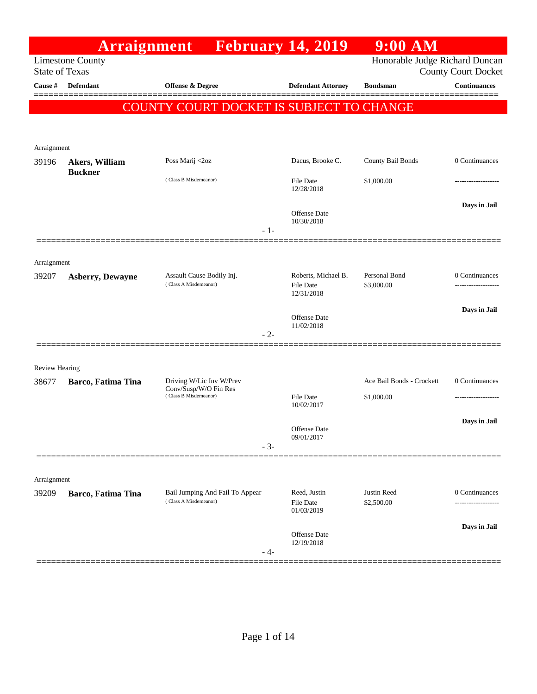|                                | <b>Arraignment</b>               |                                                          | <b>February 14, 2019</b>                | $9:00$ AM                      |                                                   |
|--------------------------------|----------------------------------|----------------------------------------------------------|-----------------------------------------|--------------------------------|---------------------------------------------------|
| <b>State of Texas</b>          | <b>Limestone County</b>          |                                                          |                                         | Honorable Judge Richard Duncan |                                                   |
| Cause #                        | Defendant                        | <b>Offense &amp; Degree</b>                              | <b>Defendant Attorney</b>               | <b>Bondsman</b>                | <b>County Court Docket</b><br><b>Continuances</b> |
|                                |                                  |                                                          |                                         |                                |                                                   |
|                                |                                  | COUNTY COURT DOCKET IS SUBJECT TO CHANGE                 |                                         |                                |                                                   |
|                                |                                  |                                                          |                                         |                                |                                                   |
| Arraignment                    |                                  |                                                          |                                         |                                |                                                   |
| 39196                          | Akers, William<br><b>Buckner</b> | Poss Marij <2oz                                          | Dacus, Brooke C.                        | County Bail Bonds              | 0 Continuances                                    |
|                                |                                  | (Class B Misdemeanor)                                    | File Date<br>12/28/2018                 | \$1,000.00                     |                                                   |
|                                |                                  | - 1-                                                     | <b>Offense Date</b><br>10/30/2018       |                                | Days in Jail                                      |
|                                |                                  |                                                          |                                         |                                |                                                   |
| Arraignment<br>39207           | <b>Asberry, Dewayne</b>          | Assault Cause Bodily Inj.<br>(Class A Misdemeanor)       | Roberts, Michael B.<br><b>File Date</b> | Personal Bond<br>\$3,000.00    | 0 Continuances                                    |
|                                |                                  |                                                          | 12/31/2018                              |                                |                                                   |
|                                |                                  |                                                          | <b>Offense</b> Date<br>11/02/2018       |                                | Days in Jail                                      |
|                                |                                  | $-2-$                                                    |                                         |                                |                                                   |
|                                |                                  |                                                          |                                         |                                |                                                   |
| <b>Review Hearing</b><br>38677 | Barco, Fatima Tina               | Driving W/Lic Inv W/Prev                                 |                                         | Ace Bail Bonds - Crockett      | 0 Continuances                                    |
|                                |                                  | Conv/Susp/W/O Fin Res<br>(Class B Misdemeanor)           | <b>File Date</b>                        | \$1,000.00                     |                                                   |
|                                |                                  |                                                          | 10/02/2017                              |                                |                                                   |
|                                |                                  |                                                          | Offense Date                            |                                | Days in Jail                                      |
|                                |                                  | $-3-$                                                    | 09/01/2017                              |                                |                                                   |
|                                |                                  |                                                          |                                         |                                |                                                   |
| Arraignment                    |                                  |                                                          |                                         |                                |                                                   |
| 39209                          | Barco, Fatima Tina               | Bail Jumping And Fail To Appear<br>(Class A Misdemeanor) | Reed, Justin<br>File Date<br>01/03/2019 | Justin Reed<br>\$2,500.00      | 0 Continuances                                    |
|                                |                                  |                                                          | Offense Date<br>12/19/2018              |                                | Days in Jail                                      |
|                                |                                  | - 4-                                                     |                                         |                                |                                                   |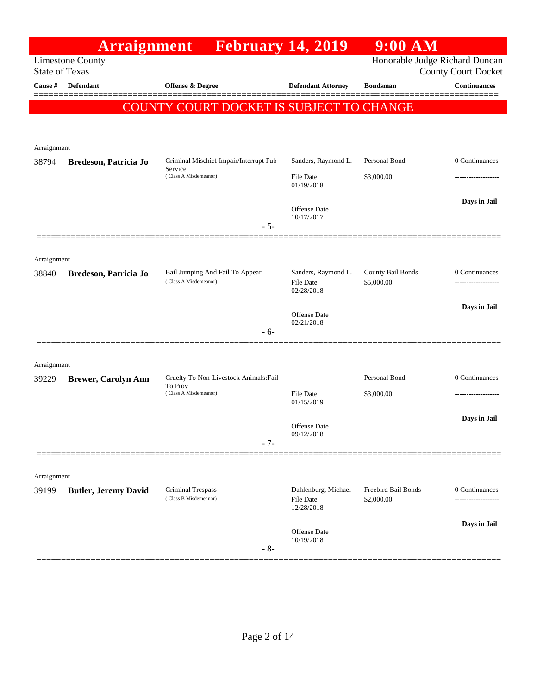|                       |                             | <b>Arraignment</b> February 14, 2019                                       |                                         | $9:00$ AM                         |                                                              |
|-----------------------|-----------------------------|----------------------------------------------------------------------------|-----------------------------------------|-----------------------------------|--------------------------------------------------------------|
| <b>State of Texas</b> | <b>Limestone County</b>     |                                                                            |                                         |                                   | Honorable Judge Richard Duncan<br><b>County Court Docket</b> |
| Cause #               | <b>Defendant</b>            | Offense & Degree                                                           | <b>Defendant Attorney</b>               | <b>Bondsman</b>                   | <b>Continuances</b>                                          |
|                       |                             | COUNTY COURT DOCKET IS SUBJECT TO CHANGE                                   |                                         |                                   |                                                              |
|                       |                             |                                                                            |                                         |                                   |                                                              |
| Arraignment           |                             |                                                                            |                                         |                                   |                                                              |
| 38794                 | Bredeson, Patricia Jo       | Criminal Mischief Impair/Interrupt Pub<br>Service                          | Sanders, Raymond L.                     | Personal Bond                     | 0 Continuances                                               |
|                       |                             | (Class A Misdemeanor)                                                      | <b>File Date</b><br>01/19/2018          | \$3,000.00                        | ----------------                                             |
|                       |                             |                                                                            |                                         |                                   | Days in Jail                                                 |
|                       |                             |                                                                            | <b>Offense</b> Date<br>10/17/2017       |                                   |                                                              |
|                       |                             | $-5-$                                                                      |                                         |                                   |                                                              |
| Arraignment           |                             |                                                                            |                                         |                                   |                                                              |
| 38840                 | Bredeson, Patricia Jo       | Bail Jumping And Fail To Appear<br>(Class A Misdemeanor)                   | Sanders, Raymond L.<br><b>File Date</b> | County Bail Bonds<br>\$5,000.00   | 0 Continuances                                               |
|                       |                             |                                                                            | 02/28/2018                              |                                   | ----------------                                             |
|                       |                             |                                                                            | Offense Date                            |                                   | Days in Jail                                                 |
|                       |                             | $-6-$                                                                      | 02/21/2018                              |                                   |                                                              |
|                       |                             |                                                                            |                                         |                                   |                                                              |
| Arraignment           |                             |                                                                            |                                         |                                   |                                                              |
| 39229                 | <b>Brewer, Carolyn Ann</b>  | Cruelty To Non-Livestock Animals: Fail<br>To Prov<br>(Class A Misdemeanor) | <b>File Date</b>                        | Personal Bond<br>\$3,000.00       | 0 Continuances                                               |
|                       |                             |                                                                            | 01/15/2019                              |                                   |                                                              |
|                       |                             |                                                                            | <b>Offense Date</b>                     |                                   | Days in Jail                                                 |
|                       |                             | $-7-$                                                                      | 09/12/2018                              |                                   |                                                              |
|                       |                             |                                                                            |                                         |                                   |                                                              |
| Arraignment           |                             |                                                                            |                                         |                                   |                                                              |
| 39199                 | <b>Butler, Jeremy David</b> | <b>Criminal Trespass</b><br>(Class B Misdemeanor)                          | Dahlenburg, Michael<br>File Date        | Freebird Bail Bonds<br>\$2,000.00 | 0 Continuances                                               |
|                       |                             |                                                                            | 12/28/2018                              |                                   | Days in Jail                                                 |
|                       |                             |                                                                            | <b>Offense Date</b><br>10/19/2018       |                                   |                                                              |
|                       |                             | $-8-$                                                                      |                                         |                                   |                                                              |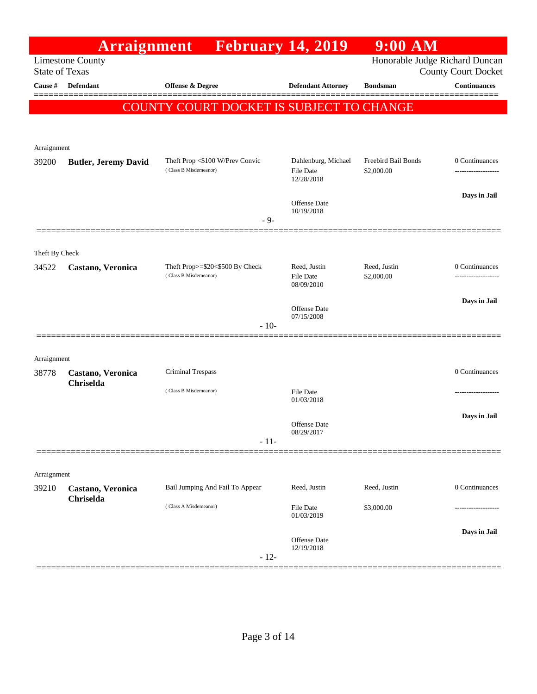|                       | <b>Arraignment</b>             |                                                          |        | <b>February 14, 2019</b>                       | $9:00$ AM                         |                                                              |
|-----------------------|--------------------------------|----------------------------------------------------------|--------|------------------------------------------------|-----------------------------------|--------------------------------------------------------------|
| <b>State of Texas</b> | <b>Limestone County</b>        |                                                          |        |                                                |                                   | Honorable Judge Richard Duncan<br><b>County Court Docket</b> |
| Cause #               | <b>Defendant</b>               | <b>Offense &amp; Degree</b>                              |        | <b>Defendant Attorney</b>                      | <b>Bondsman</b>                   | <b>Continuances</b>                                          |
|                       |                                | COUNTY COURT DOCKET IS SUBJECT TO CHANGE                 |        |                                                |                                   |                                                              |
|                       |                                |                                                          |        |                                                |                                   |                                                              |
| Arraignment           |                                |                                                          |        |                                                |                                   |                                                              |
| 39200                 | <b>Butler, Jeremy David</b>    | Theft Prop <\$100 W/Prev Convic<br>(Class B Misdemeanor) |        | Dahlenburg, Michael<br>File Date<br>12/28/2018 | Freebird Bail Bonds<br>\$2,000.00 | 0 Continuances<br>------------------                         |
|                       |                                |                                                          |        | <b>Offense</b> Date<br>10/19/2018              |                                   | Days in Jail                                                 |
|                       |                                |                                                          | $-9-$  |                                                |                                   |                                                              |
| Theft By Check        |                                |                                                          |        |                                                |                                   |                                                              |
| 34522                 | Castano, Veronica              | Theft Prop>=\$20<\$500 By Check<br>(Class B Misdemeanor) |        | Reed, Justin<br><b>File Date</b><br>08/09/2010 | Reed, Justin<br>\$2,000.00        | 0 Continuances                                               |
|                       |                                |                                                          |        | Offense Date<br>07/15/2008                     |                                   | Days in Jail                                                 |
|                       |                                |                                                          | $-10-$ |                                                |                                   |                                                              |
|                       |                                |                                                          |        |                                                |                                   |                                                              |
| Arraignment<br>38778  | Castano, Veronica<br>Chriselda | Criminal Trespass                                        |        |                                                |                                   | 0 Continuances                                               |
|                       |                                | (Class B Misdemeanor)                                    |        | File Date<br>01/03/2018                        |                                   | .                                                            |
|                       |                                |                                                          |        | <b>Offense</b> Date                            |                                   | Days in Jail                                                 |
|                       |                                |                                                          | $-11-$ | 08/29/2017                                     |                                   |                                                              |
|                       |                                |                                                          |        |                                                |                                   |                                                              |
| Arraignment           |                                |                                                          |        |                                                |                                   |                                                              |
| 39210                 | Castano, Veronica<br>Chriselda | Bail Jumping And Fail To Appear<br>(Class A Misdemeanor) |        | Reed, Justin<br><b>File Date</b>               | Reed, Justin<br>\$3,000.00        | 0 Continuances                                               |
|                       |                                |                                                          |        | 01/03/2019                                     |                                   |                                                              |
|                       |                                |                                                          | $-12-$ | <b>Offense</b> Date<br>12/19/2018              |                                   | Days in Jail                                                 |
|                       |                                |                                                          |        |                                                |                                   |                                                              |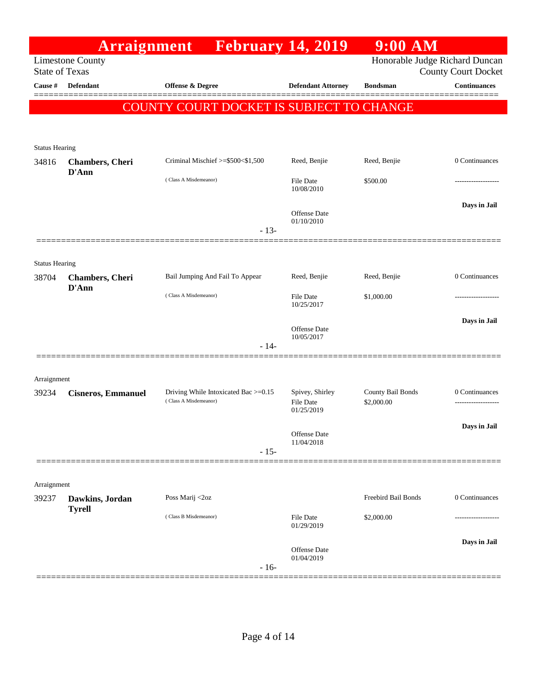|                                | <b>Arraignment</b>               |                                                               | <b>February 14, 2019</b>                          | $9:00$ AM                       |                                           |
|--------------------------------|----------------------------------|---------------------------------------------------------------|---------------------------------------------------|---------------------------------|-------------------------------------------|
| <b>State of Texas</b>          | <b>Limestone County</b>          |                                                               |                                                   | Honorable Judge Richard Duncan  | <b>County Court Docket</b>                |
| Cause #                        | Defendant                        | Offense & Degree                                              | <b>Defendant Attorney</b>                         | <b>Bondsman</b>                 | <b>Continuances</b><br>=======            |
|                                |                                  | COUNTY COURT DOCKET IS SUBJECT TO CHANGE                      |                                                   |                                 |                                           |
| <b>Status Hearing</b>          |                                  |                                                               |                                                   |                                 |                                           |
| 34816                          | <b>Chambers</b> , Cheri<br>D'Ann | Criminal Mischief >=\$500<\$1,500                             | Reed, Benjie                                      | Reed, Benjie                    | 0 Continuances                            |
|                                |                                  | (Class A Misdemeanor)                                         | <b>File Date</b><br>10/08/2010                    | \$500.00                        |                                           |
|                                |                                  | $-13-$                                                        | Offense Date<br>01/10/2010                        |                                 | Days in Jail                              |
|                                |                                  |                                                               |                                                   |                                 |                                           |
| <b>Status Hearing</b><br>38704 | <b>Chambers</b> , Cheri          | Bail Jumping And Fail To Appear                               | Reed, Benjie                                      | Reed, Benjie                    | 0 Continuances                            |
|                                | D'Ann                            | (Class A Misdemeanor)                                         | <b>File Date</b><br>10/25/2017                    | \$1,000.00                      |                                           |
|                                |                                  | $-14-$                                                        | Offense Date<br>10/05/2017                        |                                 | Days in Jail                              |
|                                |                                  |                                                               |                                                   |                                 |                                           |
| Arraignment                    |                                  |                                                               |                                                   |                                 |                                           |
| 39234                          | <b>Cisneros, Emmanuel</b>        | Driving While Intoxicated Bac >=0.15<br>(Class A Misdemeanor) | Spivey, Shirley<br><b>File Date</b><br>01/25/2019 | County Bail Bonds<br>\$2,000.00 | $0$ Continuances $\,$<br>---------------- |
|                                |                                  | $-15-$                                                        | Offense Date<br>11/04/2018                        |                                 | Days in Jail                              |
|                                |                                  |                                                               |                                                   |                                 |                                           |
| Arraignment                    |                                  |                                                               |                                                   |                                 |                                           |
| 39237                          | Dawkins, Jordan<br><b>Tyrell</b> | Poss Marij <2oz                                               |                                                   | Freebird Bail Bonds             | 0 Continuances                            |
|                                |                                  | (Class B Misdemeanor)                                         | <b>File Date</b><br>01/29/2019                    | \$2,000.00                      |                                           |
|                                |                                  | $-16-$                                                        | Offense Date<br>01/04/2019                        |                                 | Days in Jail                              |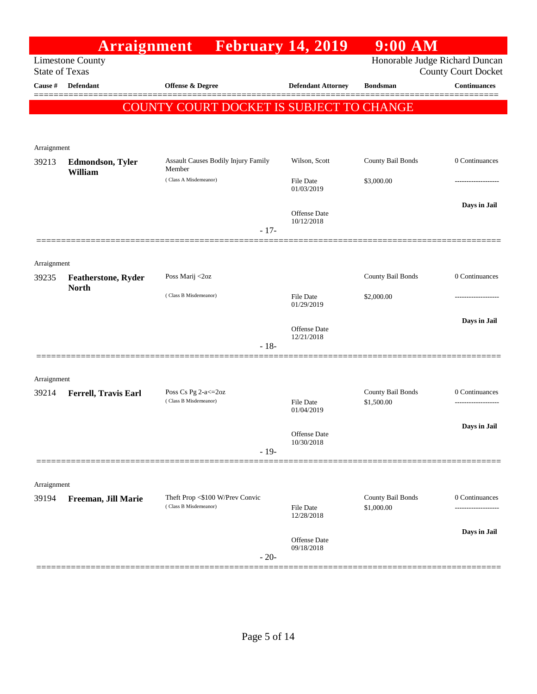| Honorable Judge Richard Duncan<br><b>Limestone County</b><br><b>State of Texas</b><br><b>County Court Docket</b><br><b>Continuances</b><br>Cause #<br><b>Defendant</b><br><b>Offense &amp; Degree</b><br><b>Defendant Attorney</b><br><b>Bondsman</b><br>COUNTY COURT DOCKET IS SUBJECT TO CHANGE<br>Arraignment<br>County Bail Bonds<br><b>Assault Causes Bodily Injury Family</b><br>Wilson, Scott<br>0 Continuances<br>39213<br><b>Edmondson, Tyler</b><br>Member<br>William<br>(Class A Misdemeanor)<br>File Date<br>\$3,000.00<br>01/03/2019<br>Days in Jail<br>Offense Date<br>10/12/2018<br>$-17-$<br>Arraignment<br>County Bail Bonds<br>0 Continuances<br>Poss Marij <2oz<br>39235<br><b>Featherstone, Ryder</b><br><b>North</b><br>(Class B Misdemeanor)<br><b>File Date</b><br>\$2,000.00<br>01/29/2019<br>Days in Jail<br>Offense Date<br>12/21/2018<br>$-18-$<br>Arraignment<br>County Bail Bonds<br>Poss Cs Pg 2-a <= 20z<br>0 Continuances<br>39214<br>Ferrell, Travis Earl<br>(Class B Misdemeanor)<br>\$1,500.00<br><b>File Date</b><br>01/04/2019<br>Days in Jail<br>Offense Date<br>10/30/2018<br>$-19-$<br>Arraignment<br>Theft Prop <\$100 W/Prev Convic<br>County Bail Bonds<br>0 Continuances<br>39194<br>Freeman, Jill Marie<br>(Class B Misdemeanor)<br>\$1,000.00<br><b>File Date</b><br><br>12/28/2018<br>Days in Jail<br><b>Offense Date</b><br>09/18/2018<br>$-20-$ | <b>Arraignment</b> | <b>February 14, 2019</b> | $9:00$ AM |  |
|--------------------------------------------------------------------------------------------------------------------------------------------------------------------------------------------------------------------------------------------------------------------------------------------------------------------------------------------------------------------------------------------------------------------------------------------------------------------------------------------------------------------------------------------------------------------------------------------------------------------------------------------------------------------------------------------------------------------------------------------------------------------------------------------------------------------------------------------------------------------------------------------------------------------------------------------------------------------------------------------------------------------------------------------------------------------------------------------------------------------------------------------------------------------------------------------------------------------------------------------------------------------------------------------------------------------------------------------------------------------------------------------------|--------------------|--------------------------|-----------|--|
|                                                                                                                                                                                                                                                                                                                                                                                                                                                                                                                                                                                                                                                                                                                                                                                                                                                                                                                                                                                                                                                                                                                                                                                                                                                                                                                                                                                                  |                    |                          |           |  |
|                                                                                                                                                                                                                                                                                                                                                                                                                                                                                                                                                                                                                                                                                                                                                                                                                                                                                                                                                                                                                                                                                                                                                                                                                                                                                                                                                                                                  |                    |                          |           |  |
|                                                                                                                                                                                                                                                                                                                                                                                                                                                                                                                                                                                                                                                                                                                                                                                                                                                                                                                                                                                                                                                                                                                                                                                                                                                                                                                                                                                                  |                    |                          |           |  |
|                                                                                                                                                                                                                                                                                                                                                                                                                                                                                                                                                                                                                                                                                                                                                                                                                                                                                                                                                                                                                                                                                                                                                                                                                                                                                                                                                                                                  |                    |                          |           |  |
|                                                                                                                                                                                                                                                                                                                                                                                                                                                                                                                                                                                                                                                                                                                                                                                                                                                                                                                                                                                                                                                                                                                                                                                                                                                                                                                                                                                                  |                    |                          |           |  |
|                                                                                                                                                                                                                                                                                                                                                                                                                                                                                                                                                                                                                                                                                                                                                                                                                                                                                                                                                                                                                                                                                                                                                                                                                                                                                                                                                                                                  |                    |                          |           |  |
|                                                                                                                                                                                                                                                                                                                                                                                                                                                                                                                                                                                                                                                                                                                                                                                                                                                                                                                                                                                                                                                                                                                                                                                                                                                                                                                                                                                                  |                    |                          |           |  |
|                                                                                                                                                                                                                                                                                                                                                                                                                                                                                                                                                                                                                                                                                                                                                                                                                                                                                                                                                                                                                                                                                                                                                                                                                                                                                                                                                                                                  |                    |                          |           |  |
|                                                                                                                                                                                                                                                                                                                                                                                                                                                                                                                                                                                                                                                                                                                                                                                                                                                                                                                                                                                                                                                                                                                                                                                                                                                                                                                                                                                                  |                    |                          |           |  |
|                                                                                                                                                                                                                                                                                                                                                                                                                                                                                                                                                                                                                                                                                                                                                                                                                                                                                                                                                                                                                                                                                                                                                                                                                                                                                                                                                                                                  |                    |                          |           |  |
|                                                                                                                                                                                                                                                                                                                                                                                                                                                                                                                                                                                                                                                                                                                                                                                                                                                                                                                                                                                                                                                                                                                                                                                                                                                                                                                                                                                                  |                    |                          |           |  |
|                                                                                                                                                                                                                                                                                                                                                                                                                                                                                                                                                                                                                                                                                                                                                                                                                                                                                                                                                                                                                                                                                                                                                                                                                                                                                                                                                                                                  |                    |                          |           |  |
|                                                                                                                                                                                                                                                                                                                                                                                                                                                                                                                                                                                                                                                                                                                                                                                                                                                                                                                                                                                                                                                                                                                                                                                                                                                                                                                                                                                                  |                    |                          |           |  |
|                                                                                                                                                                                                                                                                                                                                                                                                                                                                                                                                                                                                                                                                                                                                                                                                                                                                                                                                                                                                                                                                                                                                                                                                                                                                                                                                                                                                  |                    |                          |           |  |
|                                                                                                                                                                                                                                                                                                                                                                                                                                                                                                                                                                                                                                                                                                                                                                                                                                                                                                                                                                                                                                                                                                                                                                                                                                                                                                                                                                                                  |                    |                          |           |  |
|                                                                                                                                                                                                                                                                                                                                                                                                                                                                                                                                                                                                                                                                                                                                                                                                                                                                                                                                                                                                                                                                                                                                                                                                                                                                                                                                                                                                  |                    |                          |           |  |
|                                                                                                                                                                                                                                                                                                                                                                                                                                                                                                                                                                                                                                                                                                                                                                                                                                                                                                                                                                                                                                                                                                                                                                                                                                                                                                                                                                                                  |                    |                          |           |  |
|                                                                                                                                                                                                                                                                                                                                                                                                                                                                                                                                                                                                                                                                                                                                                                                                                                                                                                                                                                                                                                                                                                                                                                                                                                                                                                                                                                                                  |                    |                          |           |  |
|                                                                                                                                                                                                                                                                                                                                                                                                                                                                                                                                                                                                                                                                                                                                                                                                                                                                                                                                                                                                                                                                                                                                                                                                                                                                                                                                                                                                  |                    |                          |           |  |
|                                                                                                                                                                                                                                                                                                                                                                                                                                                                                                                                                                                                                                                                                                                                                                                                                                                                                                                                                                                                                                                                                                                                                                                                                                                                                                                                                                                                  |                    |                          |           |  |
|                                                                                                                                                                                                                                                                                                                                                                                                                                                                                                                                                                                                                                                                                                                                                                                                                                                                                                                                                                                                                                                                                                                                                                                                                                                                                                                                                                                                  |                    |                          |           |  |
|                                                                                                                                                                                                                                                                                                                                                                                                                                                                                                                                                                                                                                                                                                                                                                                                                                                                                                                                                                                                                                                                                                                                                                                                                                                                                                                                                                                                  |                    |                          |           |  |
|                                                                                                                                                                                                                                                                                                                                                                                                                                                                                                                                                                                                                                                                                                                                                                                                                                                                                                                                                                                                                                                                                                                                                                                                                                                                                                                                                                                                  |                    |                          |           |  |
|                                                                                                                                                                                                                                                                                                                                                                                                                                                                                                                                                                                                                                                                                                                                                                                                                                                                                                                                                                                                                                                                                                                                                                                                                                                                                                                                                                                                  |                    |                          |           |  |
|                                                                                                                                                                                                                                                                                                                                                                                                                                                                                                                                                                                                                                                                                                                                                                                                                                                                                                                                                                                                                                                                                                                                                                                                                                                                                                                                                                                                  |                    |                          |           |  |
|                                                                                                                                                                                                                                                                                                                                                                                                                                                                                                                                                                                                                                                                                                                                                                                                                                                                                                                                                                                                                                                                                                                                                                                                                                                                                                                                                                                                  |                    |                          |           |  |
|                                                                                                                                                                                                                                                                                                                                                                                                                                                                                                                                                                                                                                                                                                                                                                                                                                                                                                                                                                                                                                                                                                                                                                                                                                                                                                                                                                                                  |                    |                          |           |  |
|                                                                                                                                                                                                                                                                                                                                                                                                                                                                                                                                                                                                                                                                                                                                                                                                                                                                                                                                                                                                                                                                                                                                                                                                                                                                                                                                                                                                  |                    |                          |           |  |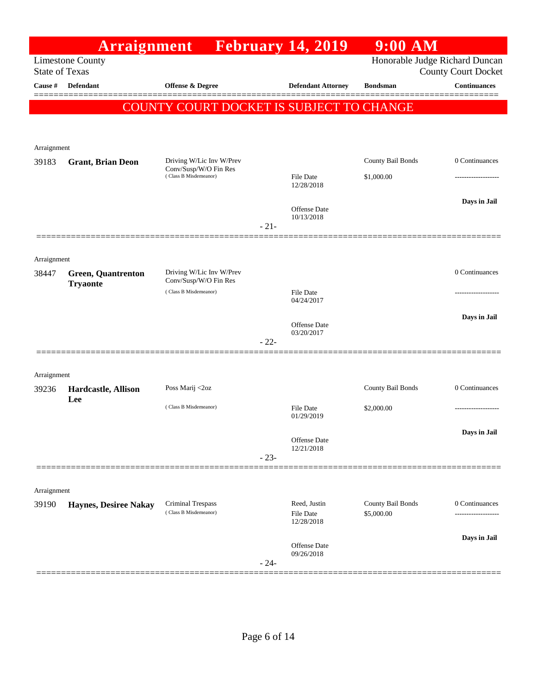|                                  |                              | <b>Arraignment</b> February 14, 2019           |        |                                | $9:00$ AM                |                                                   |
|----------------------------------|------------------------------|------------------------------------------------|--------|--------------------------------|--------------------------|---------------------------------------------------|
|                                  | <b>Limestone County</b>      |                                                |        |                                |                          | Honorable Judge Richard Duncan                    |
| <b>State of Texas</b><br>Cause # | Defendant                    | Offense & Degree                               |        | <b>Defendant Attorney</b>      | <b>Bondsman</b>          | <b>County Court Docket</b><br><b>Continuances</b> |
|                                  |                              |                                                |        |                                |                          |                                                   |
|                                  |                              | COUNTY COURT DOCKET IS SUBJECT TO CHANGE       |        |                                |                          |                                                   |
|                                  |                              |                                                |        |                                |                          |                                                   |
| Arraignment                      |                              |                                                |        |                                |                          |                                                   |
| 39183                            | <b>Grant, Brian Deon</b>     | Driving W/Lic Inv W/Prev                       |        |                                | County Bail Bonds        | 0 Continuances                                    |
|                                  |                              | Conv/Susp/W/O Fin Res<br>(Class B Misdemeanor) |        | <b>File Date</b>               | \$1,000.00               |                                                   |
|                                  |                              |                                                |        | 12/28/2018                     |                          |                                                   |
|                                  |                              |                                                |        | <b>Offense</b> Date            |                          | Days in Jail                                      |
|                                  |                              |                                                | $-21-$ | 10/13/2018                     |                          |                                                   |
|                                  |                              |                                                |        |                                |                          |                                                   |
|                                  |                              |                                                |        |                                |                          |                                                   |
| Arraignment<br>38447             | <b>Green, Quantrenton</b>    | Driving W/Lic Inv W/Prev                       |        |                                |                          | 0 Continuances                                    |
|                                  | <b>Tryaonte</b>              | Conv/Susp/W/O Fin Res                          |        |                                |                          |                                                   |
|                                  |                              | (Class B Misdemeanor)                          |        | <b>File Date</b><br>04/24/2017 |                          |                                                   |
|                                  |                              |                                                |        |                                |                          | Days in Jail                                      |
|                                  |                              |                                                |        | Offense Date<br>03/20/2017     |                          |                                                   |
|                                  |                              |                                                | $-22-$ |                                |                          |                                                   |
|                                  |                              |                                                |        |                                |                          |                                                   |
| Arraignment                      |                              |                                                |        |                                |                          |                                                   |
| 39236                            | Hardcastle, Allison<br>Lee   | Poss Marij <2oz                                |        |                                | <b>County Bail Bonds</b> | 0 Continuances                                    |
|                                  |                              | (Class B Misdemeanor)                          |        | <b>File Date</b><br>01/29/2019 | \$2,000.00               |                                                   |
|                                  |                              |                                                |        |                                |                          |                                                   |
|                                  |                              |                                                |        | Offense Date                   |                          | Days in Jail                                      |
|                                  |                              |                                                | $-23-$ | 12/21/2018                     |                          |                                                   |
|                                  |                              |                                                |        |                                |                          |                                                   |
| Arraignment                      |                              |                                                |        |                                |                          |                                                   |
| 39190                            | <b>Haynes, Desiree Nakay</b> | Criminal Trespass                              |        | Reed, Justin                   | County Bail Bonds        | 0 Continuances                                    |
|                                  |                              | (Class B Misdemeanor)                          |        | <b>File Date</b><br>12/28/2018 | \$5,000.00               | ------------------                                |
|                                  |                              |                                                |        |                                |                          | Days in Jail                                      |
|                                  |                              |                                                |        | Offense Date<br>09/26/2018     |                          |                                                   |
|                                  |                              |                                                | $-24-$ |                                |                          |                                                   |
|                                  |                              |                                                |        |                                |                          |                                                   |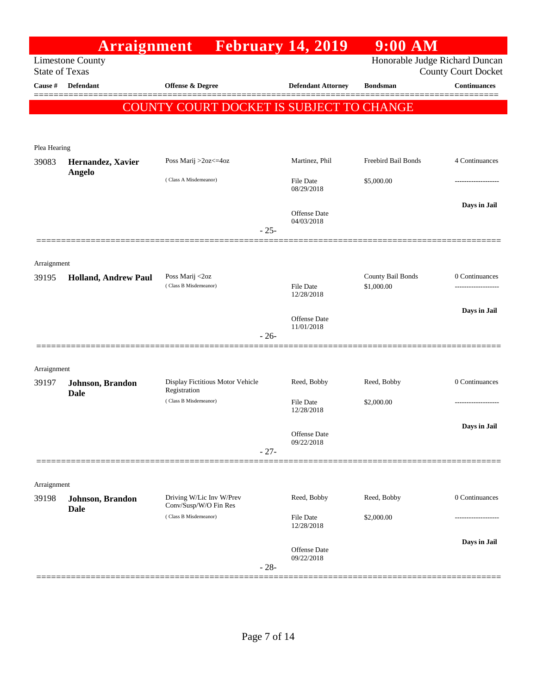|                       | Arraignment                     |                                                   | <b>February 14, 2019</b>          | $9:00$ AM                       |                            |
|-----------------------|---------------------------------|---------------------------------------------------|-----------------------------------|---------------------------------|----------------------------|
| <b>State of Texas</b> | <b>Limestone County</b>         |                                                   |                                   | Honorable Judge Richard Duncan  | <b>County Court Docket</b> |
| Cause #               | <b>Defendant</b>                | Offense & Degree                                  | <b>Defendant Attorney</b>         | <b>Bondsman</b>                 | <b>Continuances</b>        |
|                       |                                 | COUNTY COURT DOCKET IS SUBJECT TO CHANGE          |                                   |                                 |                            |
|                       |                                 |                                                   |                                   |                                 |                            |
| Plea Hearing          |                                 |                                                   |                                   |                                 |                            |
| 39083                 | Hernandez, Xavier               | Poss Marij >2oz<=4oz                              | Martinez, Phil                    | Freebird Bail Bonds             | 4 Continuances             |
|                       | <b>Angelo</b>                   | (Class A Misdemeanor)                             | <b>File Date</b><br>08/29/2018    | \$5,000.00                      |                            |
|                       |                                 |                                                   | <b>Offense Date</b><br>04/03/2018 |                                 | Days in Jail               |
|                       |                                 | $-25-$                                            |                                   |                                 |                            |
| Arraignment           |                                 |                                                   |                                   |                                 |                            |
| 39195                 | <b>Holland, Andrew Paul</b>     | Poss Marij <2oz<br>(Class B Misdemeanor)          | <b>File Date</b>                  | County Bail Bonds<br>\$1,000.00 | 0 Continuances             |
|                       |                                 |                                                   | 12/28/2018                        |                                 | Days in Jail               |
|                       |                                 | $-26-$                                            | Offense Date<br>11/01/2018        |                                 |                            |
|                       |                                 |                                                   |                                   |                                 |                            |
| Arraignment           |                                 |                                                   |                                   |                                 |                            |
| 39197                 | Johnson, Brandon<br><b>Dale</b> | Display Fictitious Motor Vehicle<br>Registration  | Reed, Bobby                       | Reed, Bobby                     | 0 Continuances             |
|                       |                                 | (Class B Misdemeanor)                             | <b>File Date</b><br>12/28/2018    | \$2,000.00                      |                            |
|                       |                                 | $-27-$                                            | Offense Date<br>09/22/2018        |                                 | Days in Jail               |
|                       |                                 |                                                   |                                   |                                 |                            |
| Arraignment           |                                 |                                                   |                                   |                                 |                            |
| 39198                 | Johnson, Brandon<br><b>Dale</b> | Driving W/Lic Inv W/Prev<br>Conv/Susp/W/O Fin Res | Reed, Bobby                       | Reed, Bobby                     | 0 Continuances             |
|                       |                                 | (Class B Misdemeanor)                             | <b>File Date</b><br>12/28/2018    | \$2,000.00                      |                            |
|                       |                                 | $-28-$                                            | Offense Date<br>09/22/2018        |                                 | Days in Jail               |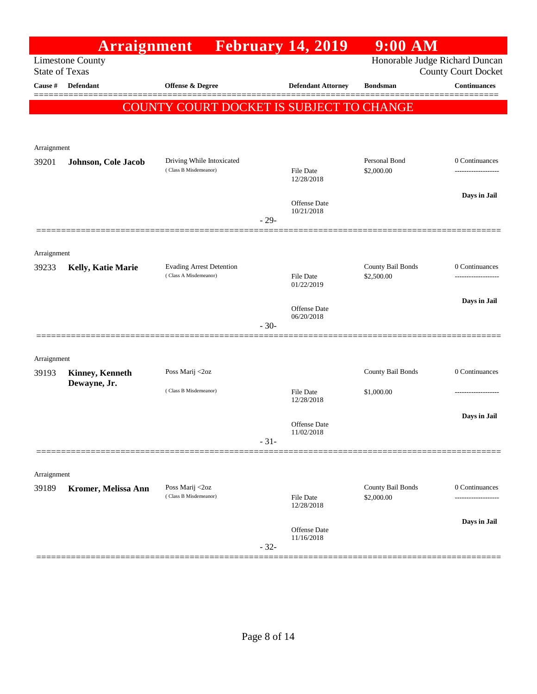|                       | Arraignment             |                                                          |        | <b>February 14, 2019</b>   | $9:00$ AM                       |                                                              |
|-----------------------|-------------------------|----------------------------------------------------------|--------|----------------------------|---------------------------------|--------------------------------------------------------------|
| <b>State of Texas</b> | <b>Limestone County</b> |                                                          |        |                            |                                 | Honorable Judge Richard Duncan<br><b>County Court Docket</b> |
| Cause #               | <b>Defendant</b>        | <b>Offense &amp; Degree</b>                              |        | <b>Defendant Attorney</b>  | <b>Bondsman</b>                 | <b>Continuances</b>                                          |
|                       |                         | COUNTY COURT DOCKET IS SUBJECT TO CHANGE                 |        |                            |                                 |                                                              |
|                       |                         |                                                          |        |                            |                                 |                                                              |
| Arraignment           |                         |                                                          |        |                            |                                 |                                                              |
| 39201                 | Johnson, Cole Jacob     | Driving While Intoxicated<br>(Class B Misdemeanor)       |        |                            | Personal Bond                   | 0 Continuances                                               |
|                       |                         |                                                          |        | File Date<br>12/28/2018    | \$2,000.00                      | ------------------                                           |
|                       |                         |                                                          |        | Offense Date               |                                 | Days in Jail                                                 |
|                       |                         |                                                          | $-29-$ | 10/21/2018                 |                                 |                                                              |
|                       |                         |                                                          |        |                            |                                 |                                                              |
| Arraignment           |                         |                                                          |        |                            |                                 |                                                              |
| 39233                 | Kelly, Katie Marie      | <b>Evading Arrest Detention</b><br>(Class A Misdemeanor) |        | File Date                  | County Bail Bonds<br>\$2,500.00 | 0 Continuances                                               |
|                       |                         |                                                          |        | 01/22/2019                 |                                 |                                                              |
|                       |                         |                                                          |        | Offense Date<br>06/20/2018 |                                 | Days in Jail                                                 |
|                       |                         |                                                          | $-30-$ |                            |                                 |                                                              |
|                       |                         |                                                          |        |                            |                                 |                                                              |
| Arraignment<br>39193  | <b>Kinney, Kenneth</b>  | Poss Marij <2oz                                          |        |                            | County Bail Bonds               | 0 Continuances                                               |
|                       | Dewayne, Jr.            | (Class B Misdemeanor)                                    |        | <b>File Date</b>           | \$1,000.00                      | ----------------                                             |
|                       |                         |                                                          |        | 12/28/2018                 |                                 |                                                              |
|                       |                         |                                                          |        | <b>Offense Date</b>        |                                 | Days in Jail                                                 |
|                       |                         |                                                          | $-31-$ | 11/02/2018                 |                                 |                                                              |
|                       |                         |                                                          |        |                            |                                 |                                                              |
| Arraignment           |                         |                                                          |        |                            |                                 |                                                              |
| 39189                 | Kromer, Melissa Ann     | Poss Marij <2oz<br>(Class B Misdemeanor)                 |        | <b>File Date</b>           | County Bail Bonds<br>\$2,000.00 | 0 Continuances                                               |
|                       |                         |                                                          |        | 12/28/2018                 |                                 | Days in Jail                                                 |
|                       |                         |                                                          |        | Offense Date<br>11/16/2018 |                                 |                                                              |
|                       |                         |                                                          | $-32-$ |                            |                                 |                                                              |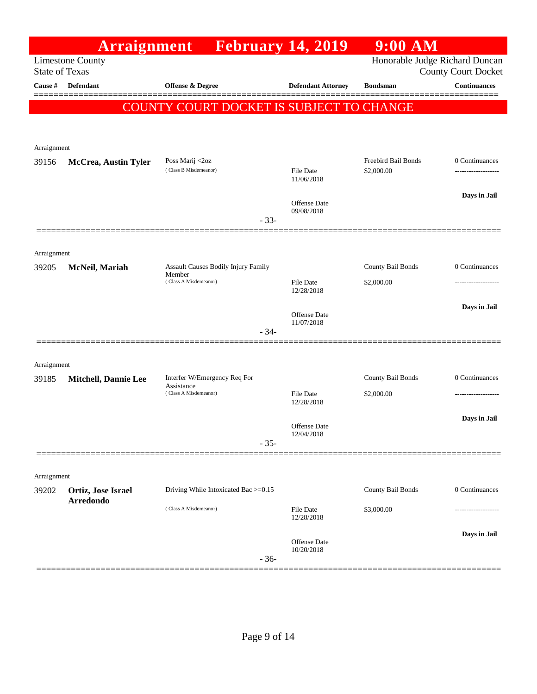|                       | Arraignment                 |                                               | <b>February 14, 2019</b>       | $9:00$ AM                         |                                       |
|-----------------------|-----------------------------|-----------------------------------------------|--------------------------------|-----------------------------------|---------------------------------------|
| <b>State of Texas</b> | <b>Limestone County</b>     |                                               |                                | Honorable Judge Richard Duncan    | <b>County Court Docket</b>            |
| Cause #               | <b>Defendant</b>            | <b>Offense &amp; Degree</b>                   | <b>Defendant Attorney</b>      | <b>Bondsman</b>                   | <b>Continuances</b>                   |
|                       |                             |                                               |                                |                                   |                                       |
|                       |                             | COUNTY COURT DOCKET IS SUBJECT TO CHANGE      |                                |                                   |                                       |
|                       |                             |                                               |                                |                                   |                                       |
| Arraignment           |                             |                                               |                                |                                   |                                       |
| 39156                 | <b>McCrea, Austin Tyler</b> | Poss Marij <2oz<br>(Class B Misdemeanor)      | <b>File Date</b>               | Freebird Bail Bonds<br>\$2,000.00 | 0 Continuances<br>------------------- |
|                       |                             |                                               | 11/06/2018                     |                                   |                                       |
|                       |                             |                                               | <b>Offense Date</b>            |                                   | Days in Jail                          |
|                       |                             | $-33-$                                        | 09/08/2018                     |                                   |                                       |
|                       |                             |                                               |                                |                                   |                                       |
| Arraignment           |                             |                                               |                                |                                   |                                       |
| 39205                 | McNeil, Mariah              | Assault Causes Bodily Injury Family<br>Member |                                | County Bail Bonds                 | 0 Continuances                        |
|                       |                             | (Class A Misdemeanor)                         | <b>File Date</b><br>12/28/2018 | \$2,000.00                        |                                       |
|                       |                             |                                               |                                |                                   | Days in Jail                          |
|                       |                             |                                               | Offense Date<br>11/07/2018     |                                   |                                       |
|                       |                             | $-34-$                                        |                                |                                   |                                       |
|                       |                             |                                               |                                |                                   |                                       |
| Arraignment<br>39185  |                             | Interfer W/Emergency Req For                  |                                | County Bail Bonds                 | 0 Continuances                        |
|                       | <b>Mitchell, Dannie Lee</b> | Assistance<br>(Class A Misdemeanor)           | <b>File Date</b>               | \$2,000.00                        | -----------------                     |
|                       |                             |                                               | 12/28/2018                     |                                   |                                       |
|                       |                             |                                               | Offense Date                   |                                   | Days in Jail                          |
|                       |                             | $-35-$                                        | 12/04/2018                     |                                   |                                       |
|                       |                             |                                               |                                |                                   |                                       |
| Arraignment           |                             |                                               |                                |                                   |                                       |
| 39202                 | Ortiz, Jose Israel          | Driving While Intoxicated Bac >=0.15          |                                | County Bail Bonds                 | 0 Continuances                        |
|                       | <b>Arredondo</b>            | (Class A Misdemeanor)                         | <b>File Date</b>               | \$3,000.00                        |                                       |
|                       |                             |                                               | 12/28/2018                     |                                   |                                       |
|                       |                             |                                               | Offense Date<br>10/20/2018     |                                   | Days in Jail                          |
|                       |                             | $-36-$                                        |                                |                                   |                                       |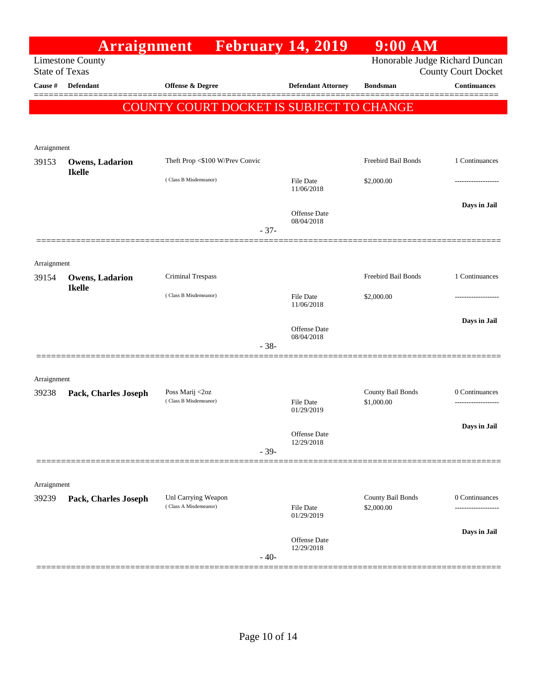|                       | Arraignment                             |                                          |        | <b>February 14, 2019</b>          | $9:00$ AM                      |                            |
|-----------------------|-----------------------------------------|------------------------------------------|--------|-----------------------------------|--------------------------------|----------------------------|
| <b>State of Texas</b> | <b>Limestone County</b>                 |                                          |        |                                   | Honorable Judge Richard Duncan | <b>County Court Docket</b> |
| Cause #               | Defendant                               | Offense & Degree                         |        | <b>Defendant Attorney</b>         | <b>Bondsman</b>                | <b>Continuances</b>        |
|                       |                                         | COUNTY COURT DOCKET IS SUBJECT TO CHANGE |        |                                   |                                |                            |
|                       |                                         |                                          |        |                                   |                                |                            |
| Arraignment           |                                         |                                          |        |                                   |                                |                            |
| 39153                 | <b>Owens, Ladarion</b><br><b>Ikelle</b> | Theft Prop <\$100 W/Prev Convic          |        |                                   | Freebird Bail Bonds            | 1 Continuances             |
|                       |                                         | (Class B Misdemeanor)                    |        | File Date<br>11/06/2018           | \$2,000.00                     | ------------------         |
|                       |                                         |                                          | $-37-$ | <b>Offense Date</b><br>08/04/2018 |                                | Days in Jail               |
|                       |                                         |                                          |        |                                   |                                |                            |
| Arraignment           |                                         |                                          |        |                                   |                                |                            |
| 39154                 | <b>Owens, Ladarion</b>                  | Criminal Trespass                        |        |                                   | Freebird Bail Bonds            | 1 Continuances             |
|                       | <b>Ikelle</b>                           | (Class B Misdemeanor)                    |        | <b>File Date</b><br>11/06/2018    | \$2,000.00                     | .                          |
|                       |                                         |                                          |        | Offense Date                      |                                | Days in Jail               |
|                       |                                         |                                          | $-38-$ | 08/04/2018                        |                                |                            |
| Arraignment           |                                         |                                          |        |                                   |                                |                            |
| 39238                 | Pack, Charles Joseph                    | Poss Marij <2oz                          |        |                                   | County Bail Bonds              | 0 Continuances             |
|                       |                                         | (Class B Misdemeanor)                    |        | <b>File Date</b><br>01/29/2019    | \$1,000.00                     | -----------------          |
|                       |                                         |                                          |        | Offense Date                      |                                | Days in Jail               |
|                       |                                         |                                          | $-39-$ | 12/29/2018                        |                                |                            |
| Arraignment           |                                         |                                          |        |                                   |                                |                            |
| 39239                 | Pack, Charles Joseph                    | Unl Carrying Weapon                      |        |                                   | County Bail Bonds              | 0 Continuances             |
|                       |                                         | (Class A Misdemeanor)                    |        | File Date<br>01/29/2019           | \$2,000.00                     |                            |
|                       |                                         |                                          | $-40-$ | Offense Date<br>12/29/2018        |                                | Days in Jail               |
|                       |                                         |                                          |        |                                   |                                |                            |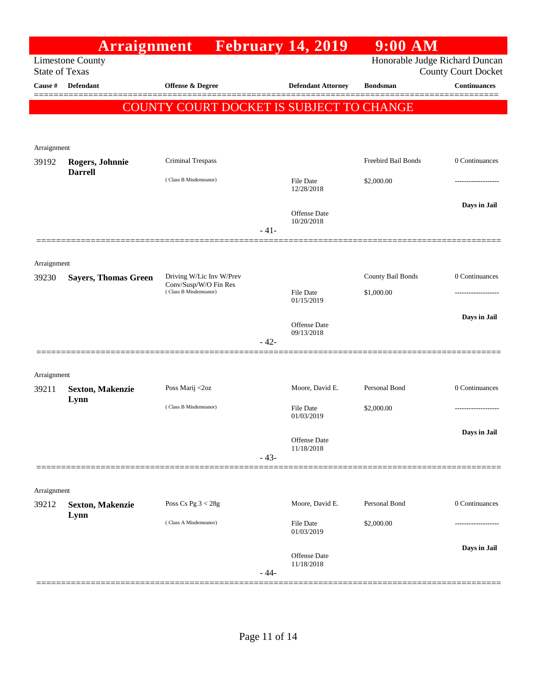|                       | Arraignment                       |                                                |        | <b>February 14, 2019</b>       | $9:00$ AM                      |                            |
|-----------------------|-----------------------------------|------------------------------------------------|--------|--------------------------------|--------------------------------|----------------------------|
| <b>State of Texas</b> | <b>Limestone County</b>           |                                                |        |                                | Honorable Judge Richard Duncan | <b>County Court Docket</b> |
| Cause #               | <b>Defendant</b>                  | <b>Offense &amp; Degree</b>                    |        | <b>Defendant Attorney</b>      | <b>Bondsman</b>                | <b>Continuances</b>        |
|                       |                                   | COUNTY COURT DOCKET IS SUBJECT TO CHANGE       |        |                                |                                |                            |
|                       |                                   |                                                |        |                                |                                |                            |
|                       |                                   |                                                |        |                                |                                |                            |
| Arraignment           |                                   |                                                |        |                                | Freebird Bail Bonds            | 0 Continuances             |
| 39192                 | Rogers, Johnnie<br><b>Darrell</b> | Criminal Trespass                              |        |                                |                                |                            |
|                       |                                   | (Class B Misdemeanor)                          |        | <b>File Date</b><br>12/28/2018 | \$2,000.00                     |                            |
|                       |                                   |                                                |        |                                |                                | Days in Jail               |
|                       |                                   |                                                |        | Offense Date<br>10/20/2018     |                                |                            |
|                       |                                   |                                                | $-41-$ |                                |                                |                            |
|                       |                                   |                                                |        |                                |                                |                            |
| Arraignment<br>39230  | <b>Sayers, Thomas Green</b>       | Driving W/Lic Inv W/Prev                       |        |                                | County Bail Bonds              | 0 Continuances             |
|                       |                                   | Conv/Susp/W/O Fin Res<br>(Class B Misdemeanor) |        | File Date                      | \$1,000.00                     |                            |
|                       |                                   |                                                |        | 01/15/2019                     |                                |                            |
|                       |                                   |                                                |        | Offense Date                   |                                | Days in Jail               |
|                       |                                   |                                                | $-42-$ | 09/13/2018                     |                                |                            |
|                       |                                   |                                                |        |                                |                                |                            |
| Arraignment           |                                   |                                                |        |                                |                                |                            |
| 39211                 | <b>Sexton, Makenzie</b>           | Poss Marij <2oz                                |        | Moore, David E.                | Personal Bond                  | 0 Continuances             |
|                       | Lynn                              | (Class B Misdemeanor)                          |        | <b>File Date</b>               | \$2,000.00                     | ------------------         |
|                       |                                   |                                                |        | 01/03/2019                     |                                | Days in Jail               |
|                       |                                   |                                                |        | Offense Date<br>11/18/2018     |                                |                            |
|                       |                                   |                                                | $-43-$ |                                |                                |                            |
|                       |                                   |                                                |        |                                |                                |                            |
| Arraignment           |                                   |                                                |        |                                |                                |                            |
| 39212                 | <b>Sexton, Makenzie</b><br>Lynn   | Poss Cs Pg $3 < 28g$                           |        | Moore, David E.                | Personal Bond                  | 0 Continuances             |
|                       |                                   | (Class A Misdemeanor)                          |        | <b>File Date</b><br>01/03/2019 | \$2,000.00                     |                            |
|                       |                                   |                                                |        |                                |                                | Days in Jail               |
|                       |                                   |                                                |        | Offense Date<br>11/18/2018     |                                |                            |
|                       |                                   |                                                | $-44-$ |                                |                                |                            |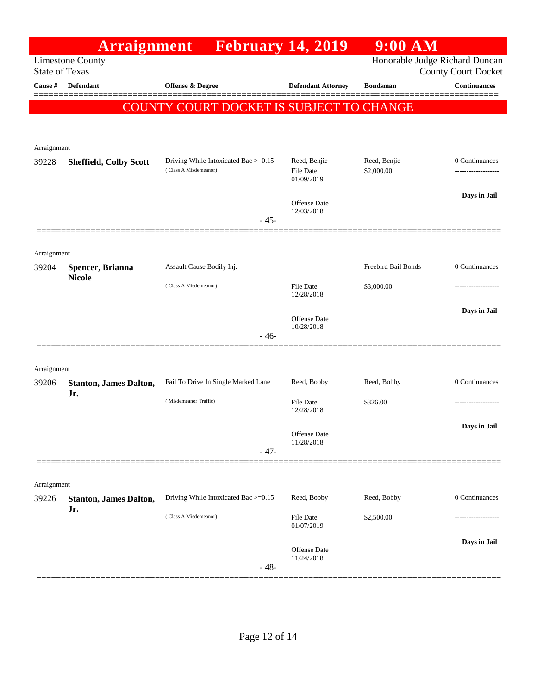|                       | Arraignment                          | <b>February 14, 2019</b>                 |                                   | $9:00$ AM                      |                            |
|-----------------------|--------------------------------------|------------------------------------------|-----------------------------------|--------------------------------|----------------------------|
| <b>State of Texas</b> | <b>Limestone County</b>              |                                          |                                   | Honorable Judge Richard Duncan | <b>County Court Docket</b> |
| Cause #               | <b>Defendant</b>                     | <b>Offense &amp; Degree</b>              | <b>Defendant Attorney</b>         | <b>Bondsman</b>                | <b>Continuances</b>        |
|                       |                                      | COUNTY COURT DOCKET IS SUBJECT TO CHANGE |                                   |                                |                            |
|                       |                                      |                                          |                                   |                                |                            |
|                       |                                      |                                          |                                   |                                |                            |
| Arraignment<br>39228  | <b>Sheffield, Colby Scott</b>        | Driving While Intoxicated Bac >=0.15     | Reed, Benjie                      | Reed, Benjie                   | 0 Continuances             |
|                       |                                      | (Class A Misdemeanor)                    | <b>File Date</b><br>01/09/2019    | \$2,000.00                     |                            |
|                       |                                      |                                          |                                   |                                | Days in Jail               |
|                       |                                      |                                          | Offense Date<br>12/03/2018        |                                |                            |
|                       |                                      | $-45-$                                   |                                   |                                |                            |
|                       |                                      |                                          |                                   |                                |                            |
| Arraignment<br>39204  | Spencer, Brianna                     | Assault Cause Bodily Inj.                |                                   | Freebird Bail Bonds            | 0 Continuances             |
|                       | <b>Nicole</b>                        | (Class A Misdemeanor)                    |                                   |                                |                            |
|                       |                                      |                                          | <b>File Date</b><br>12/28/2018    | \$3,000.00                     | .                          |
|                       |                                      |                                          | Offense Date                      |                                | Days in Jail               |
|                       |                                      | $-46-$                                   | 10/28/2018                        |                                |                            |
|                       |                                      |                                          |                                   |                                |                            |
| Arraignment           |                                      |                                          |                                   |                                |                            |
| 39206                 | <b>Stanton, James Dalton,</b>        | Fail To Drive In Single Marked Lane      | Reed, Bobby                       | Reed, Bobby                    | 0 Continuances             |
|                       | Jr.                                  | (Misdemeanor Traffic)                    | <b>File Date</b>                  | \$326.00                       | -----------------          |
|                       |                                      |                                          | 12/28/2018                        |                                |                            |
|                       |                                      |                                          | Offense Date<br>11/28/2018        |                                | Days in Jail               |
|                       |                                      | $-47-$                                   |                                   |                                |                            |
|                       |                                      |                                          |                                   |                                |                            |
| Arraignment           |                                      |                                          |                                   |                                |                            |
| 39226                 | <b>Stanton, James Dalton,</b><br>Jr. | Driving While Intoxicated Bac >=0.15     | Reed, Bobby                       | Reed, Bobby                    | 0 Continuances             |
|                       |                                      | (Class A Misdemeanor)                    | <b>File Date</b><br>01/07/2019    | \$2,500.00                     |                            |
|                       |                                      |                                          |                                   |                                | Days in Jail               |
|                       |                                      |                                          | <b>Offense Date</b><br>11/24/2018 |                                |                            |
|                       |                                      | $-48-$                                   |                                   |                                |                            |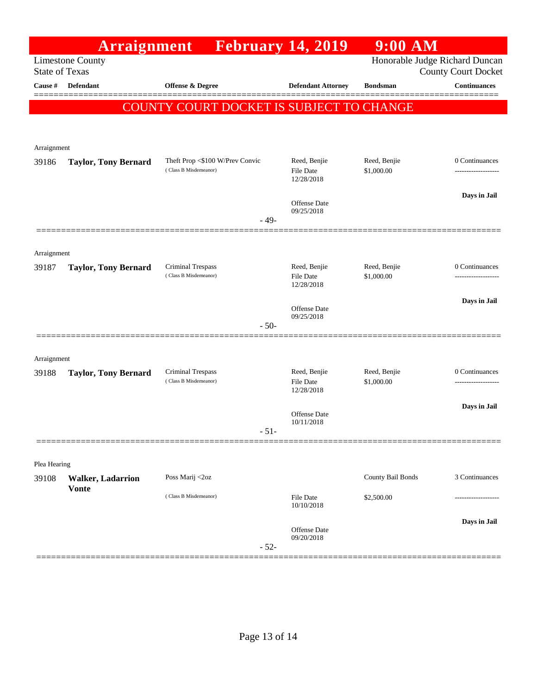|                                                                                    | <b>Arraignment</b>                       |                                            | <b>February 14, 2019</b>         | $9:00$ AM                  |                                                   |  |  |  |  |  |
|------------------------------------------------------------------------------------|------------------------------------------|--------------------------------------------|----------------------------------|----------------------------|---------------------------------------------------|--|--|--|--|--|
| Honorable Judge Richard Duncan<br><b>Limestone County</b><br><b>State of Texas</b> |                                          |                                            |                                  |                            |                                                   |  |  |  |  |  |
| Cause #                                                                            | Defendant                                | Offense & Degree                           | <b>Defendant Attorney</b>        | <b>Bondsman</b>            | <b>County Court Docket</b><br><b>Continuances</b> |  |  |  |  |  |
|                                                                                    |                                          |                                            |                                  |                            | =======                                           |  |  |  |  |  |
| <b>COUNTY COURT DOCKET IS SUBJECT TO</b><br><b>CHANGE</b>                          |                                          |                                            |                                  |                            |                                                   |  |  |  |  |  |
|                                                                                    |                                          |                                            |                                  |                            |                                                   |  |  |  |  |  |
| Arraignment                                                                        |                                          |                                            |                                  |                            |                                                   |  |  |  |  |  |
| 39186                                                                              | <b>Taylor, Tony Bernard</b>              | Theft Prop <\$100 W/Prev Convic            | Reed, Benjie                     | Reed, Benjie               | 0 Continuances                                    |  |  |  |  |  |
|                                                                                    |                                          | (Class B Misdemeanor)                      | <b>File Date</b><br>12/28/2018   | \$1,000.00                 | -----------------                                 |  |  |  |  |  |
|                                                                                    |                                          |                                            |                                  |                            | Days in Jail                                      |  |  |  |  |  |
|                                                                                    |                                          |                                            | Offense Date<br>09/25/2018       |                            |                                                   |  |  |  |  |  |
|                                                                                    |                                          | $-49-$                                     |                                  |                            |                                                   |  |  |  |  |  |
|                                                                                    |                                          |                                            |                                  |                            |                                                   |  |  |  |  |  |
| Arraignment                                                                        |                                          |                                            |                                  |                            |                                                   |  |  |  |  |  |
| 39187                                                                              | <b>Taylor, Tony Bernard</b>              | Criminal Trespass<br>(Class B Misdemeanor) | Reed, Benjie<br><b>File Date</b> | Reed, Benjie<br>\$1,000.00 | 0 Continuances                                    |  |  |  |  |  |
|                                                                                    |                                          |                                            | 12/28/2018                       |                            |                                                   |  |  |  |  |  |
|                                                                                    |                                          |                                            | Offense Date                     |                            | Days in Jail                                      |  |  |  |  |  |
|                                                                                    |                                          | $-50-$                                     | 09/25/2018                       |                            |                                                   |  |  |  |  |  |
|                                                                                    |                                          |                                            |                                  |                            |                                                   |  |  |  |  |  |
| Arraignment                                                                        |                                          |                                            |                                  |                            |                                                   |  |  |  |  |  |
| 39188                                                                              | <b>Taylor, Tony Bernard</b>              | Criminal Trespass                          | Reed, Benjie                     | Reed, Benjie               | 0 Continuances                                    |  |  |  |  |  |
|                                                                                    |                                          | (Class B Misdemeanor)                      | <b>File Date</b><br>12/28/2018   | \$1,000.00                 |                                                   |  |  |  |  |  |
|                                                                                    |                                          |                                            |                                  |                            | Days in Jail                                      |  |  |  |  |  |
|                                                                                    |                                          |                                            | Offense Date<br>10/11/2018       |                            |                                                   |  |  |  |  |  |
|                                                                                    |                                          | - 51-                                      |                                  |                            |                                                   |  |  |  |  |  |
|                                                                                    |                                          |                                            |                                  |                            |                                                   |  |  |  |  |  |
| Plea Hearing                                                                       |                                          | Poss Marij <2oz                            |                                  | County Bail Bonds          | 3 Continuances                                    |  |  |  |  |  |
| 39108                                                                              | <b>Walker, Ladarrion</b><br><b>Vonte</b> |                                            |                                  |                            |                                                   |  |  |  |  |  |
|                                                                                    |                                          | (Class B Misdemeanor)                      | <b>File Date</b><br>10/10/2018   | \$2,500.00                 |                                                   |  |  |  |  |  |
|                                                                                    |                                          |                                            |                                  |                            | Days in Jail                                      |  |  |  |  |  |
|                                                                                    |                                          |                                            | Offense Date<br>09/20/2018       |                            |                                                   |  |  |  |  |  |
|                                                                                    |                                          | $-52-$                                     |                                  |                            |                                                   |  |  |  |  |  |